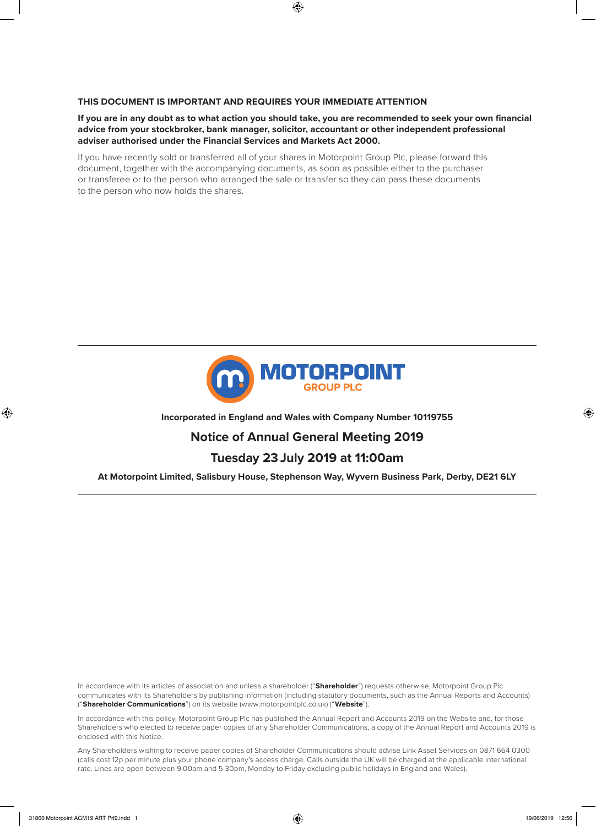## **THIS DOCUMENT IS IMPORTANT AND REQUIRES YOUR IMMEDIATE ATTENTION**

**If you are in any doubt as to what action you should take, you are recommended to seek your own financial advice from your stockbroker, bank manager, solicitor, accountant or other independent professional adviser authorised under the Financial Services and Markets Act 2000.**

If you have recently sold or transferred all of your shares in Motorpoint Group Plc, please forward this document, together with the accompanying documents, as soon as possible either to the purchaser or transferee or to the person who arranged the sale or transfer so they can pass these documents to the person who now holds the shares.



## **Incorporated in England and Wales with Company Number 10119755**

# **Notice of Annual General Meeting 2019**

# **Tuesday 23 July 2019 at 11:00am**

## **At Motorpoint Limited, Salisbury House, Stephenson Way, Wyvern Business Park, Derby, DE21 6LY**

In accordance with its articles of association and unless a shareholder ("**Shareholder**") requests otherwise, Motorpoint Group Plc communicates with its Shareholders by publishing information (including statutory documents, such as the Annual Reports and Accounts) ("**Shareholder Communications**") on its website (www.motorpointplc.co.uk) ("**Website**").

In accordance with this policy, Motorpoint Group Plc has published the Annual Report and Accounts 2019 on the Website and, for those Shareholders who elected to receive paper copies of any Shareholder Communications, a copy of the Annual Report and Accounts 2019 is enclosed with this Notice.

Any Shareholders wishing to receive paper copies of Shareholder Communications should advise Link Asset Services on 0871 664 0300 (calls cost 12p per minute plus your phone company's access charge. Calls outside the UK will be charged at the applicable international rate. Lines are open between 9.00am and 5.30pm, Monday to Friday excluding public holidays in England and Wales).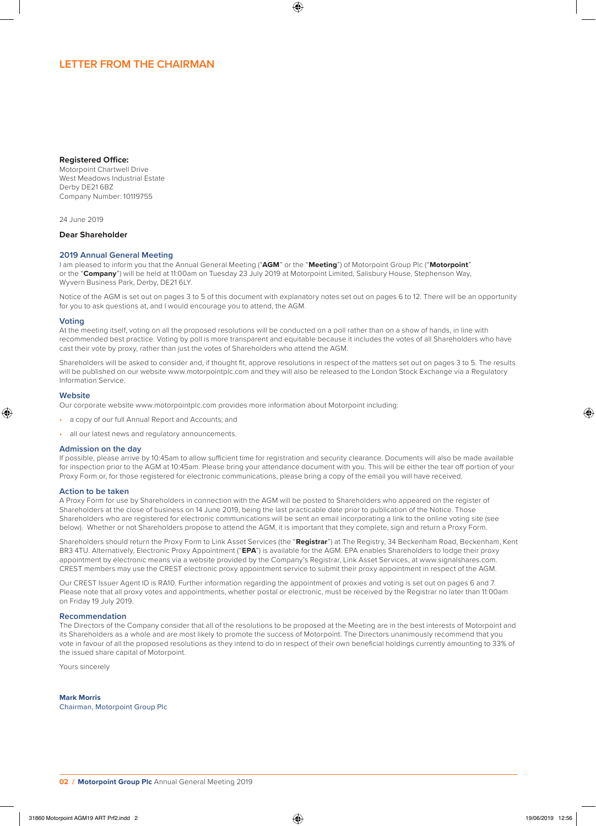# **LETTER FROM THE CHAIRMAN**

#### **Registered Office:**

Motorpoint Chartwell Drive West Meadows Industrial Estate Derby DE21 6BZ Company Number: 10119755

24 June 2019

## **Dear Shareholder**

#### **2019 Annual General Meeting**

I am pleased to inform you that the Annual General Meeting ("**AGM**" or the "**Meeting**") of Motorpoint Group Plc ("**Motorpoint**" or the "**Company**") will be held at 11:00am on Tuesday 23 July 2019 at Motorpoint Limited, Salisbury House, Stephenson Way, Wyvern Business Park, Derby, DE21 6LY.

Notice of the AGM is set out on pages 3 to 5 of this document with explanatory notes set out on pages 6 to 12. There will be an opportunity for you to ask questions at, and I would encourage you to attend, the AGM.

#### **Voting**

At the meeting itself, voting on all the proposed resolutions will be conducted on a poll rather than on a show of hands, in line with recommended best practice. Voting by poll is more transparent and equitable because it includes the votes of all Shareholders who have cast their vote by proxy, rather than just the votes of Shareholders who attend the AGM.

Shareholders will be asked to consider and, if thought fit, approve resolutions in respect of the matters set out on pages 3 to 5. The results will be published on our website www.motorpointplc.com and they will also be released to the London Stock Exchange via a Regulatory Information Service.

#### **Website**

Our corporate website www.motorpointplc.com provides more information about Motorpoint including:

- a copy of our full Annual Report and Accounts; and
- all our latest news and regulatory announcements.

#### **Admission on the day**

If possible, please arrive by 10:45am to allow sufficient time for registration and security clearance. Documents will also be made available for inspection prior to the AGM at 10:45am. Please bring your attendance document with you. This will be either the tear off portion of your Proxy Form or, for those registered for electronic communications, please bring a copy of the email you will have received.

#### **Action to be taken**

A Proxy Form for use by Shareholders in connection with the AGM will be posted to Shareholders who appeared on the register of Shareholders at the close of business on 14 June 2019, being the last practicable date prior to publication of the Notice. Those Shareholders who are registered for electronic communications will be sent an email incorporating a link to the online voting site (see below). Whether or not Shareholders propose to attend the AGM, it is important that they complete, sign and return a Proxy Form.

Shareholders should return the Proxy Form to Link Asset Services (the "**Registrar**") at The Registry, 34 Beckenham Road, Beckenham, Kent BR3 4TU. Alternatively, Electronic Proxy Appointment ("**EPA**") is available for the AGM. EPA enables Shareholders to lodge their proxy appointment by electronic means via a website provided by the Company's Registrar, Link Asset Services, at www.signalshares.com. CREST members may use the CREST electronic proxy appointment service to submit their proxy appointment in respect of the AGM.

Our CREST Issuer Agent ID is RA10. Further information regarding the appointment of proxies and voting is set out on pages 6 and 7. Please note that all proxy votes and appointments, whether postal or electronic, must be received by the Registrar no later than 11:00am on Friday 19 July 2019.

## **Recommendation**

The Directors of the Company consider that all of the resolutions to be proposed at the Meeting are in the best interests of Motorpoint and its Shareholders as a whole and are most likely to promote the success of Motorpoint. The Directors unanimously recommend that you vote in favour of all the proposed resolutions as they intend to do in respect of their own beneficial holdings currently amounting to 33% of the issued share capital of Motorpoint.

Yours sincerely

**Mark Morris** Chairman, Motorpoint Group Plc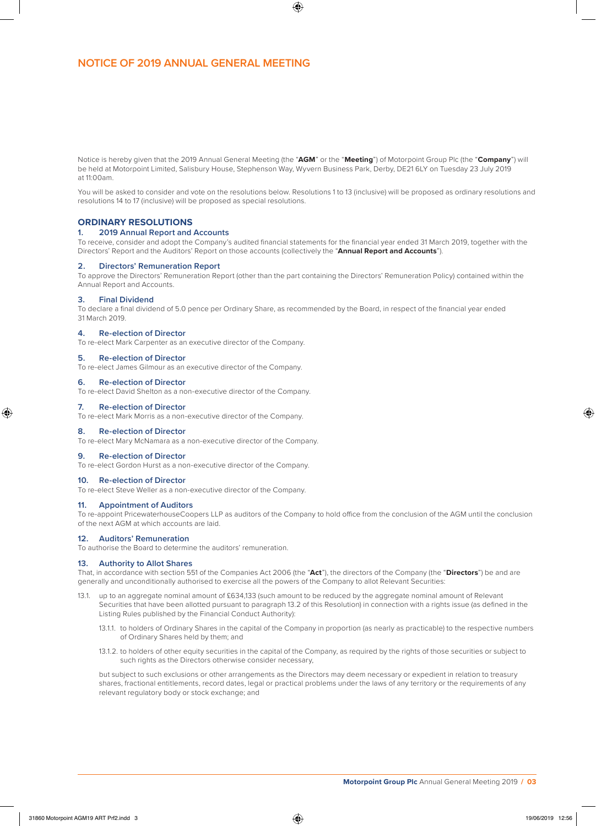# **NOTICE OF 2019 ANNUAL GENERAL MEETING**

Notice is hereby given that the 2019 Annual General Meeting (the "**AGM**" or the "**Meeting**") of Motorpoint Group Plc (the "**Company**") will be held at Motorpoint Limited, Salisbury House, Stephenson Way, Wyvern Business Park, Derby, DE21 6LY on Tuesday 23 July 2019 at 11:00am.

You will be asked to consider and vote on the resolutions below. Resolutions 1 to 13 (inclusive) will be proposed as ordinary resolutions and resolutions 14 to 17 (inclusive) will be proposed as special resolutions.

## **ORDINARY RESOLUTIONS**

#### **1. 2019 Annual Report and Accounts**

To receive, consider and adopt the Company's audited financial statements for the financial year ended 31 March 2019, together with the Directors' Report and the Auditors' Report on those accounts (collectively the "**Annual Report and Accounts**").

#### **2. Directors' Remuneration Report**

To approve the Directors' Remuneration Report (other than the part containing the Directors' Remuneration Policy) contained within the Annual Report and Accounts.

#### **3. Final Dividend**

To declare a final dividend of 5.0 pence per Ordinary Share, as recommended by the Board, in respect of the financial year ended 31 March 2019.

#### **4. Re-election of Director**

To re-elect Mark Carpenter as an executive director of the Company.

## **5. Re-election of Director**

To re-elect James Gilmour as an executive director of the Company.

### **6. Re-election of Director**

To re-elect David Shelton as a non-executive director of the Company.

## **7. Re-election of Director**

To re-elect Mark Morris as a non-executive director of the Company.

## **8. Re-election of Director**

To re-elect Mary McNamara as a non-executive director of the Company.

#### **9. Re-election of Director**

To re-elect Gordon Hurst as a non-executive director of the Company.

### **10. Re-election of Director**

To re-elect Steve Weller as a non-executive director of the Company.

## **11. Appointment of Auditors**

To re-appoint PricewaterhouseCoopers LLP as auditors of the Company to hold office from the conclusion of the AGM until the conclusion of the next AGM at which accounts are laid.

#### **12. Auditors' Remuneration**

To authorise the Board to determine the auditors' remuneration.

## **13. Authority to Allot Shares**

That, in accordance with section 551 of the Companies Act 2006 (the "**Act**"), the directors of the Company (the "**Directors**") be and are generally and unconditionally authorised to exercise all the powers of the Company to allot Relevant Securities:

- 13.1. up to an aggregate nominal amount of £634,133 (such amount to be reduced by the aggregate nominal amount of Relevant Securities that have been allotted pursuant to paragraph 13.2 of this Resolution) in connection with a rights issue (as defined in the Listing Rules published by the Financial Conduct Authority):
	- 13.1.1. to holders of Ordinary Shares in the capital of the Company in proportion (as nearly as practicable) to the respective numbers of Ordinary Shares held by them; and
	- 13.1.2. to holders of other equity securities in the capital of the Company, as required by the rights of those securities or subject to such rights as the Directors otherwise consider necessary.

but subject to such exclusions or other arrangements as the Directors may deem necessary or expedient in relation to treasury shares, fractional entitlements, record dates, legal or practical problems under the laws of any territory or the requirements of any relevant regulatory body or stock exchange; and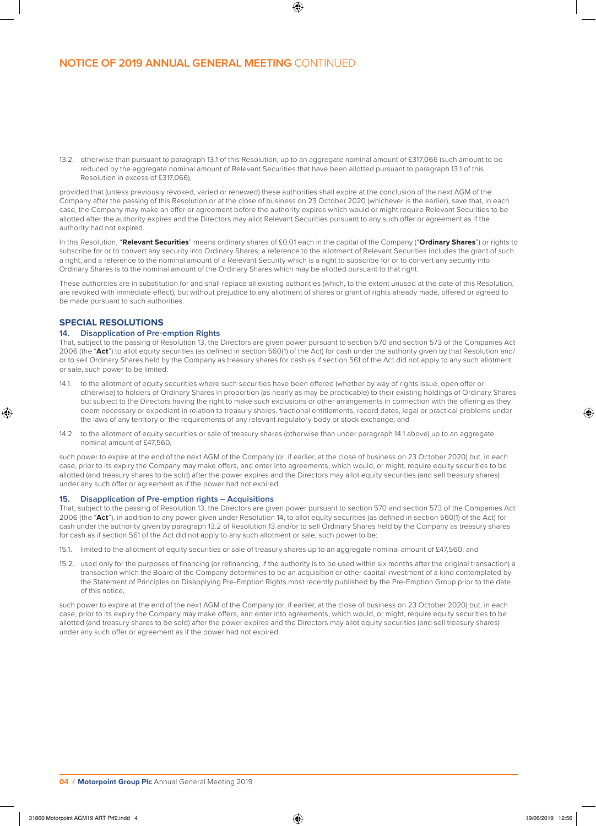13.2. otherwise than pursuant to paragraph 13.1 of this Resolution, up to an aggregate nominal amount of £317,066 (such amount to be reduced by the aggregate nominal amount of Relevant Securities that have been allotted pursuant to paragraph 13.1 of this Resolution in excess of £317,066)

provided that (unless previously revoked, varied or renewed) these authorities shall expire at the conclusion of the next AGM of the Company after the passing of this Resolution or at the close of business on 23 October 2020 (whichever is the earlier), save that, in each case, the Company may make an offer or agreement before the authority expires which would or might require Relevant Securities to be allotted after the authority expires and the Directors may allot Relevant Securities pursuant to any such offer or agreement as if the authority had not expired.

In this Resolution, "**Relevant Securities**" means ordinary shares of £0.01 each in the capital of the Company ("**Ordinary Shares**") or rights to subscribe for or to convert any security into Ordinary Shares; a reference to the allotment of Relevant Securities includes the grant of such a right; and a reference to the nominal amount of a Relevant Security which is a right to subscribe for or to convert any security into Ordinary Shares is to the nominal amount of the Ordinary Shares which may be allotted pursuant to that right.

These authorities are in substitution for and shall replace all existing authorities (which, to the extent unused at the date of this Resolution, are revoked with immediate effect), but without prejudice to any allotment of shares or grant of rights already made, offered or agreed to be made pursuant to such authorities.

## **SPECIAL RESOLUTIONS**

## **14. Disapplication of Pre-emption Rights**

That, subject to the passing of Resolution 13, the Directors are given power pursuant to section 570 and section 573 of the Companies Act 2006 (the "**Act**") to allot equity securities (as defined in section 560(1) of the Act) for cash under the authority given by that Resolution and/ or to sell Ordinary Shares held by the Company as treasury shares for cash as if section 561 of the Act did not apply to any such allotment or sale, such power to be limited:

- 14.1. to the allotment of equity securities where such securities have been offered (whether by way of rights issue, open offer or otherwise) to holders of Ordinary Shares in proportion (as nearly as may be practicable) to their existing holdings of Ordinary Shares but subject to the Directors having the right to make such exclusions or other arrangements in connection with the offering as they deem necessary or expedient in relation to treasury shares, fractional entitlements, record dates, legal or practical problems under the laws of any territory or the requirements of any relevant regulatory body or stock exchange; and
- 14.2. to the allotment of equity securities or sale of treasury shares (otherwise than under paragraph 14.1 above) up to an aggregate nominal amount of £47,560,

such power to expire at the end of the next AGM of the Company (or, if earlier, at the close of business on 23 October 2020) but, in each case, prior to its expiry the Company may make offers, and enter into agreements, which would, or might, require equity securities to be allotted (and treasury shares to be sold) after the power expires and the Directors may allot equity securities (and sell treasury shares) under any such offer or agreement as if the power had not expired.

### **15. Disapplication of Pre-emption rights – Acquisitions**

That, subject to the passing of Resolution 13, the Directors are given power pursuant to section 570 and section 573 of the Companies Act 2006 (the "**Act**"), in addition to any power given under Resolution 14, to allot equity securities (as defined in section 560(1) of the Act) for cash under the authority given by paragraph 13.2 of Resolution 13 and/or to sell Ordinary Shares held by the Company as treasury shares for cash as if section 561 of the Act did not apply to any such allotment or sale, such power to be:

- 15.1. limited to the allotment of equity securities or sale of treasury shares up to an aggregate nominal amount of £47,560; and
- 15.2. used only for the purposes of financing (or refinancing, if the authority is to be used within six months after the original transaction) a transaction which the Board of the Company determines to be an acquisition or other capital investment of a kind contemplated by the Statement of Principles on Disapplying Pre-Emption Rights most recently published by the Pre-Emption Group prior to the date of this notice,

such power to expire at the end of the next AGM of the Company (or, if earlier, at the close of business on 23 October 2020) but, in each case, prior to its expiry the Company may make offers, and enter into agreements, which would, or might, require equity securities to be allotted (and treasury shares to be sold) after the power expires and the Directors may allot equity securities (and sell treasury shares) under any such offer or agreement as if the power had not expired.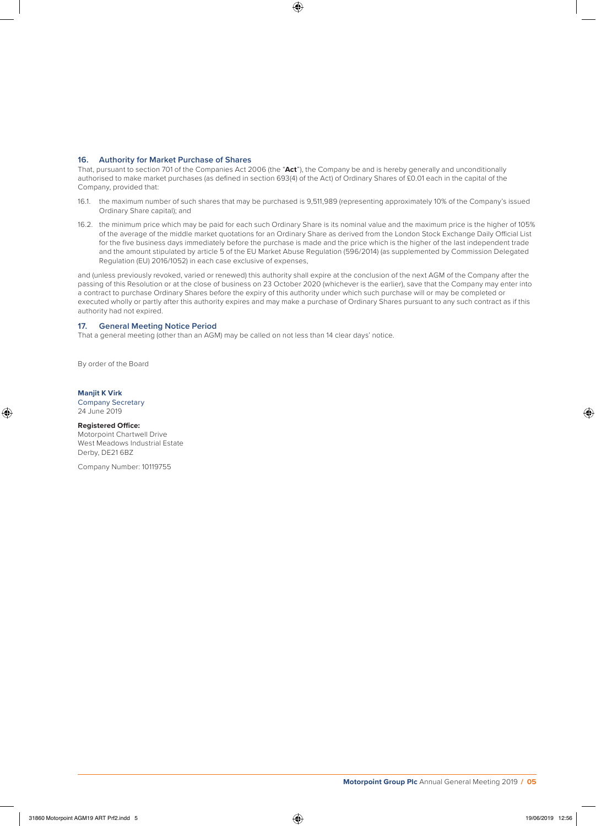## **16. Authority for Market Purchase of Shares**

That, pursuant to section 701 of the Companies Act 2006 (the "**Act**"), the Company be and is hereby generally and unconditionally authorised to make market purchases (as defined in section 693(4) of the Act) of Ordinary Shares of £0.01 each in the capital of the Company, provided that:

- 16.1. the maximum number of such shares that may be purchased is 9,511,989 (representing approximately 10% of the Company's issued Ordinary Share capital); and
- 16.2. the minimum price which may be paid for each such Ordinary Share is its nominal value and the maximum price is the higher of 105% of the average of the middle market quotations for an Ordinary Share as derived from the London Stock Exchange Daily Official List for the five business days immediately before the purchase is made and the price which is the higher of the last independent trade and the amount stipulated by article 5 of the EU Market Abuse Regulation (596/2014) (as supplemented by Commission Delegated Regulation (EU) 2016/1052) in each case exclusive of expenses,

and (unless previously revoked, varied or renewed) this authority shall expire at the conclusion of the next AGM of the Company after the passing of this Resolution or at the close of business on 23 October 2020 (whichever is the earlier), save that the Company may enter into a contract to purchase Ordinary Shares before the expiry of this authority under which such purchase will or may be completed or executed wholly or partly after this authority expires and may make a purchase of Ordinary Shares pursuant to any such contract as if this authority had not expired.

## **17. General Meeting Notice Period**

That a general meeting (other than an AGM) may be called on not less than 14 clear days' notice.

By order of the Board

### **Manjit K Virk**

Company Secretary 24 June 2019

#### **Registered Office:**

Motorpoint Chartwell Drive West Meadows Industrial Estate Derby, DE21 6BZ

Company Number: 10119755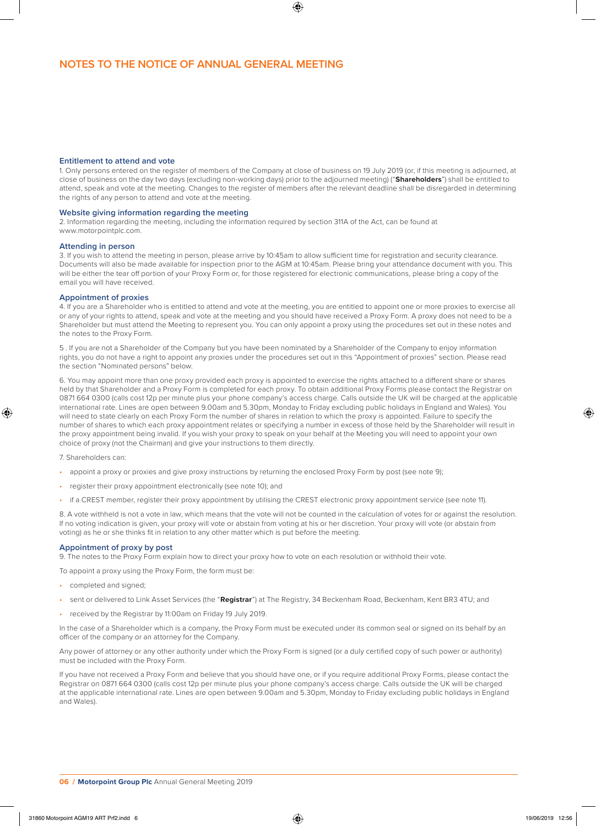## **Entitlement to attend and vote**

1. Only persons entered on the register of members of the Company at close of business on 19 July 2019 (or, if this meeting is adjourned, at close of business on the day two days (excluding non-working days) prior to the adjourned meeting) ("**Shareholders**") shall be entitled to attend, speak and vote at the meeting. Changes to the register of members after the relevant deadline shall be disregarded in determining the rights of any person to attend and vote at the meeting.

#### **Website giving information regarding the meeting**

2. Information regarding the meeting, including the information required by section 311A of the Act, can be found at www.motorpointplc.com.

#### **Attending in person**

3. If you wish to attend the meeting in person, please arrive by 10:45am to allow sufficient time for registration and security clearance. Documents will also be made available for inspection prior to the AGM at 10:45am. Please bring your attendance document with you. This will be either the tear off portion of your Proxy Form or, for those registered for electronic communications, please bring a copy of the email you will have received.

#### **Appointment of proxies**

4. If you are a Shareholder who is entitled to attend and vote at the meeting, you are entitled to appoint one or more proxies to exercise all or any of your rights to attend, speak and vote at the meeting and you should have received a Proxy Form. A proxy does not need to be a Shareholder but must attend the Meeting to represent you. You can only appoint a proxy using the procedures set out in these notes and the notes to the Proxy Form.

5 . If you are not a Shareholder of the Company but you have been nominated by a Shareholder of the Company to enjoy information rights, you do not have a right to appoint any proxies under the procedures set out in this "Appointment of proxies" section. Please read the section "Nominated persons" below.

6. You may appoint more than one proxy provided each proxy is appointed to exercise the rights attached to a different share or shares held by that Shareholder and a Proxy Form is completed for each proxy. To obtain additional Proxy Forms please contact the Registrar on 0871 664 0300 (calls cost 12p per minute plus your phone company's access charge. Calls outside the UK will be charged at the applicable international rate. Lines are open between 9.00am and 5.30pm, Monday to Friday excluding public holidays in England and Wales). You will need to state clearly on each Proxy Form the number of shares in relation to which the proxy is appointed. Failure to specify the number of shares to which each proxy appointment relates or specifying a number in excess of those held by the Shareholder will result in the proxy appointment being invalid. If you wish your proxy to speak on your behalf at the Meeting you will need to appoint your own choice of proxy (not the Chairman) and give your instructions to them directly.

#### 7. Shareholders can:

- appoint a proxy or proxies and give proxy instructions by returning the enclosed Proxy Form by post (see note 9);
- register their proxy appointment electronically (see note 10); and
- if a CREST member, register their proxy appointment by utilising the CREST electronic proxy appointment service (see note 11).

8. A vote withheld is not a vote in law, which means that the vote will not be counted in the calculation of votes for or against the resolution. If no voting indication is given, your proxy will vote or abstain from voting at his or her discretion. Your proxy will vote (or abstain from voting) as he or she thinks fit in relation to any other matter which is put before the meeting.

## **Appointment of proxy by post**

9. The notes to the Proxy Form explain how to direct your proxy how to vote on each resolution or withhold their vote.

To appoint a proxy using the Proxy Form, the form must be:

- completed and signed;
- sent or delivered to Link Asset Services (the "**Registrar**") at The Registry, 34 Beckenham Road, Beckenham, Kent BR3 4TU; and
- received by the Registrar by 11:00am on Friday 19 July 2019.

In the case of a Shareholder which is a company, the Proxy Form must be executed under its common seal or signed on its behalf by an officer of the company or an attorney for the Company.

Any power of attorney or any other authority under which the Proxy Form is signed (or a duly certified copy of such power or authority) must be included with the Proxy Form.

If you have not received a Proxy Form and believe that you should have one, or if you require additional Proxy Forms, please contact the Registrar on 0871 664 0300 (calls cost 12p per minute plus your phone company's access charge. Calls outside the UK will be charged at the applicable international rate. Lines are open between 9.00am and 5.30pm, Monday to Friday excluding public holidays in England and Wales).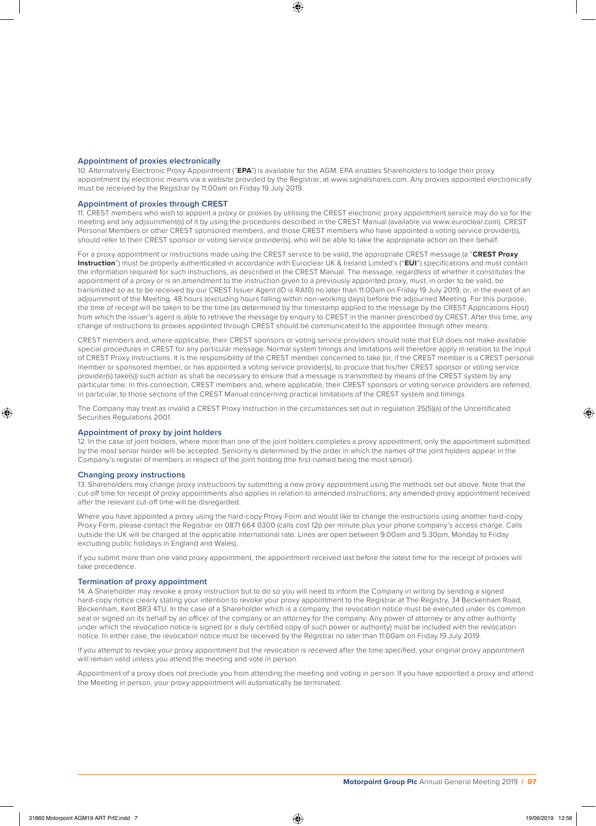### **Appointment of proxies electronically**

10. Alternatively Electronic Proxy Appointment ("**EPA**") is available for the AGM. EPA enables Shareholders to lodge their proxy appointment by electronic means via a website provided by the Registrar, at www.signalshares.com. Any proxies appointed electronically must be received by the Registrar by 11:00am on Friday 19 July 2019.

#### **Appointment of proxies through CREST**

11. CREST members who wish to appoint a proxy or proxies by utilising the CREST electronic proxy appointment service may do so for the meeting and any adjournment(s) of it by using the procedures described in the CREST Manual (available via www.euroclear.com). CREST Personal Members or other CREST sponsored members, and those CREST members who have appointed a voting service provider(s), should refer to their CREST sponsor or voting service provider(s), who will be able to take the appropriate action on their behalf.

For a proxy appointment or instructions made using the CREST service to be valid, the appropriate CREST message (a "**CREST Proxy Instruction**") must be properly authenticated in accordance with Euroclear UK & Ireland Limited's ("**EUI**") specifications and must contain the information required for such instructions, as described in the CREST Manual. The message, regardless of whether it constitutes the appointment of a proxy or is an amendment to the instruction given to a previously appointed proxy, must, in order to be valid, be transmitted so as to be received by our CREST Issuer Agent (ID is RA10) no later than 11:00am on Friday 19 July 2019, or, in the event of an adjournment of the Meeting, 48 hours (excluding hours falling within non-working days) before the adjourned Meeting. For this purpose, the time of receipt will be taken to be the time (as determined by the timestamp applied to the message by the CREST Applications Host) from which the issuer's agent is able to retrieve the message by enquiry to CREST in the manner prescribed by CREST. After this time, any change of instructions to proxies appointed through CREST should be communicated to the appointee through other means.

CREST members and, where applicable, their CREST sponsors or voting service providers should note that EUI does not make available special procedures in CREST for any particular message. Normal system timings and limitations will therefore apply in relation to the input of CREST Proxy Instructions. It is the responsibility of the CREST member concerned to take (or, if the CREST member is a CREST personal member or sponsored member, or has appointed a voting service provider(s), to procure that his/her CREST sponsor or voting service provider(s) take(s)) such action as shall be necessary to ensure that a message is transmitted by means of the CREST system by any particular time. In this connection, CREST members and, where applicable, their CREST sponsors or voting service providers are referred, in particular, to those sections of the CREST Manual concerning practical limitations of the CREST system and timings.

The Company may treat as invalid a CREST Proxy Instruction in the circumstances set out in regulation 35(5)(a) of the Uncertificated Securities Regulations 2001.

#### **Appointment of proxy by joint holders**

12. In the case of joint holders, where more than one of the joint holders completes a proxy appointment, only the appointment submitted by the most senior holder will be accepted. Seniority is determined by the order in which the names of the joint holders appear in the Company's register of members in respect of the joint holding (the first-named being the most senior).

#### **Changing proxy instructions**

13. Shareholders may change proxy instructions by submitting a new proxy appointment using the methods set out above. Note that the cut-off time for receipt of proxy appointments also applies in relation to amended instructions; any amended proxy appointment received after the relevant cut-off time will be disregarded.

Where you have appointed a proxy using the hard-copy Proxy Form and would like to change the instructions using another hard-copy Proxy Form, please contact the Registrar on 0871 664 0300 (calls cost 12p per minute plus your phone company's access charge. Calls outside the UK will be charged at the applicable international rate. Lines are open between 9.00am and 5.30pm, Monday to Friday excluding public holidays in England and Wales).

If you submit more than one valid proxy appointment, the appointment received last before the latest time for the receipt of proxies will take precedence.

#### **Termination of proxy appointment**

14. A Shareholder may revoke a proxy instruction but to do so you will need to inform the Company in writing by sending a signed hard-copy notice clearly stating your intention to revoke your proxy appointment to the Registrar at The Registry, 34 Beckenham Road, Beckenham, Kent BR3 4TU. In the case of a Shareholder which is a company, the revocation notice must be executed under its common seal or signed on its behalf by an officer of the company or an attorney for the company. Any power of attorney or any other authority under which the revocation notice is signed (or a duly certified copy of such power or authority) must be included with the revocation notice. In either case, the revocation notice must be received by the Registrar no later than 11:00am on Friday 19 July 2019.

If you attempt to revoke your proxy appointment but the revocation is received after the time specified, your original proxy appointment will remain valid unless you attend the meeting and vote in person.

Appointment of a proxy does not preclude you from attending the meeting and voting in person. If you have appointed a proxy and attend the Meeting in person, your proxy appointment will automatically be terminated.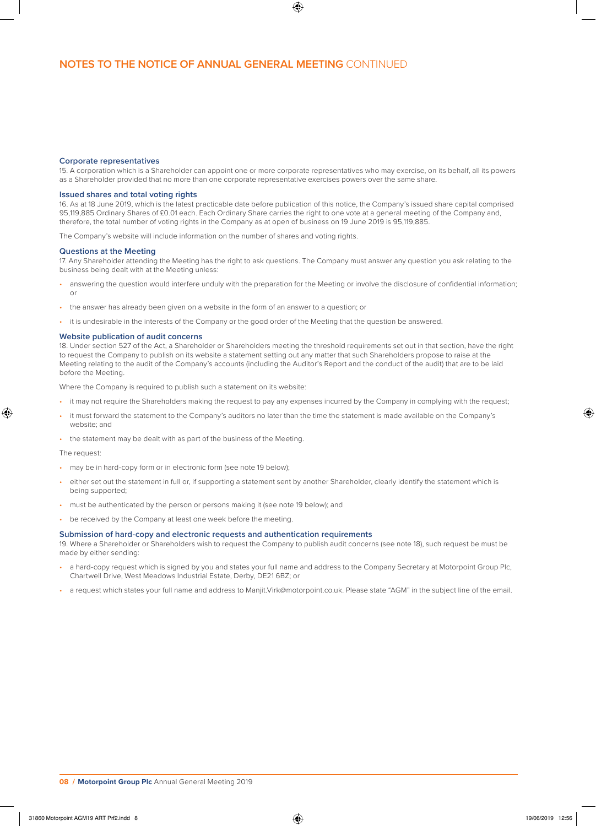#### **Corporate representatives**

15. A corporation which is a Shareholder can appoint one or more corporate representatives who may exercise, on its behalf, all its powers as a Shareholder provided that no more than one corporate representative exercises powers over the same share.

## **Issued shares and total voting rights**

16. As at 18 June 2019, which is the latest practicable date before publication of this notice, the Company's issued share capital comprised 95,119,885 Ordinary Shares of £0.01 each. Each Ordinary Share carries the right to one vote at a general meeting of the Company and, therefore, the total number of voting rights in the Company as at open of business on 19 June 2019 is 95,119,885.

The Company's website will include information on the number of shares and voting rights.

#### **Questions at the Meeting**

17. Any Shareholder attending the Meeting has the right to ask questions. The Company must answer any question you ask relating to the business being dealt with at the Meeting unless:

- answering the question would interfere unduly with the preparation for the Meeting or involve the disclosure of confidential information; or
- the answer has already been given on a website in the form of an answer to a question; or
- it is undesirable in the interests of the Company or the good order of the Meeting that the question be answered.

#### **Website publication of audit concerns**

18. Under section 527 of the Act, a Shareholder or Shareholders meeting the threshold requirements set out in that section, have the right to request the Company to publish on its website a statement setting out any matter that such Shareholders propose to raise at the Meeting relating to the audit of the Company's accounts (including the Auditor's Report and the conduct of the audit) that are to be laid before the Meeting.

Where the Company is required to publish such a statement on its website:

- it may not require the Shareholders making the request to pay any expenses incurred by the Company in complying with the request;
- it must forward the statement to the Company's auditors no later than the time the statement is made available on the Company's website; and
- the statement may be dealt with as part of the business of the Meeting.

### The request:

- may be in hard-copy form or in electronic form (see note 19 below);
- either set out the statement in full or, if supporting a statement sent by another Shareholder, clearly identify the statement which is being supported;
- must be authenticated by the person or persons making it (see note 19 below); and
- be received by the Company at least one week before the meeting.

#### **Submission of hard-copy and electronic requests and authentication requirements**

19. Where a Shareholder or Shareholders wish to request the Company to publish audit concerns (see note 18), such request be must be made by either sending:

- a hard-copy request which is signed by you and states your full name and address to the Company Secretary at Motorpoint Group Plc, Chartwell Drive, West Meadows Industrial Estate, Derby, DE21 6BZ; or
- a request which states your full name and address to Manjit.Virk@motorpoint.co.uk. Please state "AGM" in the subject line of the email.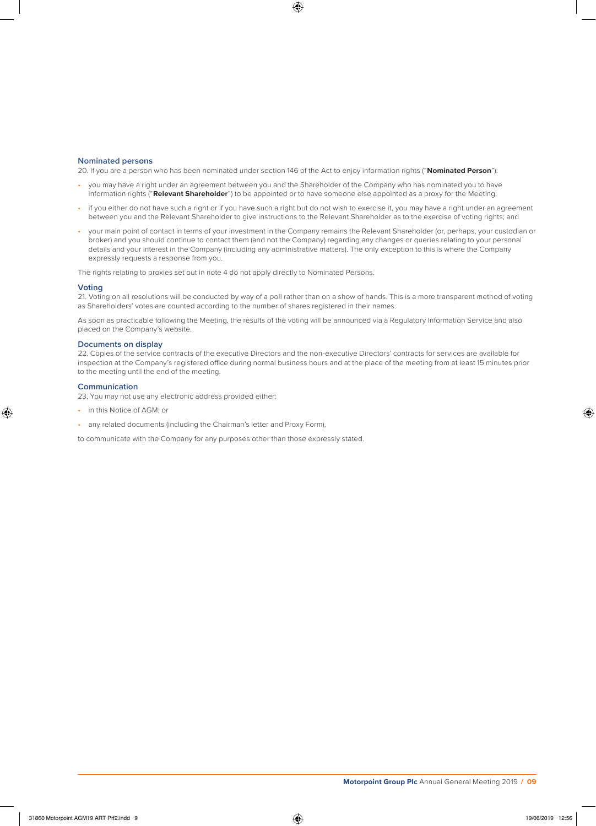### **Nominated persons**

20. If you are a person who has been nominated under section 146 of the Act to enjoy information rights ("**Nominated Person**"):

- you may have a right under an agreement between you and the Shareholder of the Company who has nominated you to have information rights ("**Relevant Shareholder**") to be appointed or to have someone else appointed as a proxy for the Meeting;
- if you either do not have such a right or if you have such a right but do not wish to exercise it, you may have a right under an agreement between you and the Relevant Shareholder to give instructions to the Relevant Shareholder as to the exercise of voting rights; and
- your main point of contact in terms of your investment in the Company remains the Relevant Shareholder (or, perhaps, your custodian or broker) and you should continue to contact them (and not the Company) regarding any changes or queries relating to your personal details and your interest in the Company (including any administrative matters). The only exception to this is where the Company expressly requests a response from you.

The rights relating to proxies set out in note 4 do not apply directly to Nominated Persons.

#### **Voting**

21. Voting on all resolutions will be conducted by way of a poll rather than on a show of hands. This is a more transparent method of voting as Shareholders' votes are counted according to the number of shares registered in their names.

As soon as practicable following the Meeting, the results of the voting will be announced via a Regulatory Information Service and also placed on the Company's website.

## **Documents on display**

22. Copies of the service contracts of the executive Directors and the non-executive Directors' contracts for services are available for inspection at the Company's registered office during normal business hours and at the place of the meeting from at least 15 minutes prior to the meeting until the end of the meeting.

## **Communication**

23. You may not use any electronic address provided either:

- in this Notice of AGM; or
- any related documents (including the Chairman's letter and Proxy Form),

to communicate with the Company for any purposes other than those expressly stated.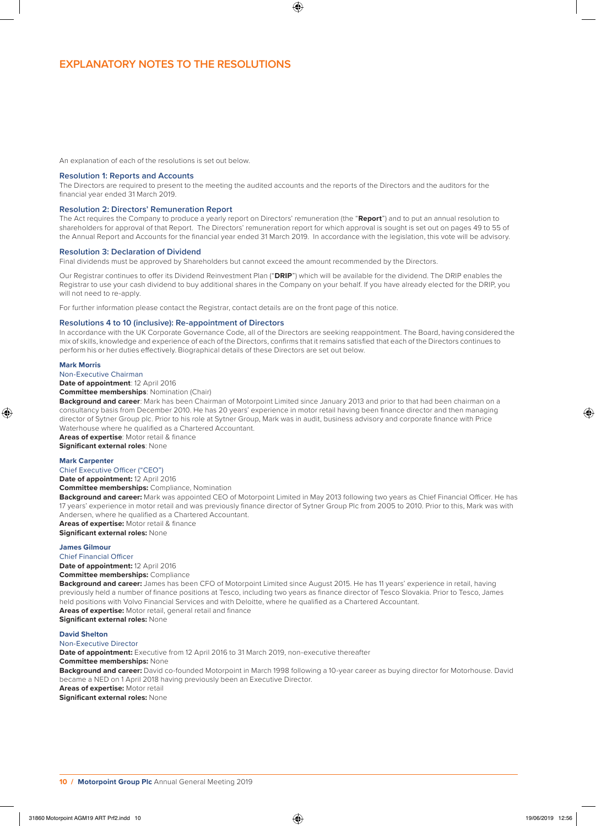An explanation of each of the resolutions is set out below.

#### **Resolution 1: Reports and Accounts**

The Directors are required to present to the meeting the audited accounts and the reports of the Directors and the auditors for the financial year ended 31 March 2019.

#### **Resolution 2: Directors' Remuneration Report**

The Act requires the Company to produce a yearly report on Directors' remuneration (the "**Report**") and to put an annual resolution to shareholders for approval of that Report. The Directors' remuneration report for which approval is sought is set out on pages 49 to 55 of the Annual Report and Accounts for the financial year ended 31 March 2019. In accordance with the legislation, this vote will be advisory.

#### **Resolution 3: Declaration of Dividend**

Final dividends must be approved by Shareholders but cannot exceed the amount recommended by the Directors.

Our Registrar continues to offer its Dividend Reinvestment Plan ("**DRIP**") which will be available for the dividend. The DRIP enables the Registrar to use your cash dividend to buy additional shares in the Company on your behalf. If you have already elected for the DRIP, you will not need to re-apply.

For further information please contact the Registrar, contact details are on the front page of this notice.

## **Resolutions 4 to 10 (inclusive): Re-appointment of Directors**

In accordance with the UK Corporate Governance Code, all of the Directors are seeking reappointment. The Board, having considered the mix of skills, knowledge and experience of each of the Directors, confirms that it remains satisfied that each of the Directors continues to perform his or her duties effectively. Biographical details of these Directors are set out below.

#### **Mark Morris**

Non-Executive Chairman

**Date of appointment**: 12 April 2016

**Committee memberships**: Nomination (Chair)

**Background and career**: Mark has been Chairman of Motorpoint Limited since January 2013 and prior to that had been chairman on a consultancy basis from December 2010. He has 20 years' experience in motor retail having been finance director and then managing director of Sytner Group plc. Prior to his role at Sytner Group, Mark was in audit, business advisory and corporate finance with Price Waterhouse where he qualified as a Chartered Accountant.

**Areas of expertise**: Motor retail & finance **Significant external roles**: None

#### **Mark Carpenter**

Chief Executive Officer ("CEO")

**Date of appointment:** 12 April 2016

**Committee memberships:** Compliance, Nomination

**Background and career:** Mark was appointed CEO of Motorpoint Limited in May 2013 following two years as Chief Financial Officer. He has 17 years' experience in motor retail and was previously finance director of Sytner Group Plc from 2005 to 2010. Prior to this, Mark was with Andersen, where he qualified as a Chartered Accountant.

**Areas of expertise:** Motor retail & finance

**Significant external roles:** None

## **James Gilmour**

Chief Financial Officer **Date of appointment:** 12 April 2016 **Committee memberships:** Compliance

Background and career: James has been CFO of Motorpoint Limited since August 2015. He has 11 years' experience in retail, having previously held a number of finance positions at Tesco, including two years as finance director of Tesco Slovakia. Prior to Tesco, James held positions with Volvo Financial Services and with Deloitte, where he qualified as a Chartered Accountant. **Areas of expertise:** Motor retail, general retail and finance

**Significant external roles:** None

**David Shelton** 

#### Non-Executive Director

**Date of appointment:** Executive from 12 April 2016 to 31 March 2019, non-executive thereafter

**Committee memberships:** None

**Background and career:** David co-founded Motorpoint in March 1998 following a 10-year career as buying director for Motorhouse. David became a NED on 1 April 2018 having previously been an Executive Director.

**Areas of expertise:** Motor retail **Significant external roles:** None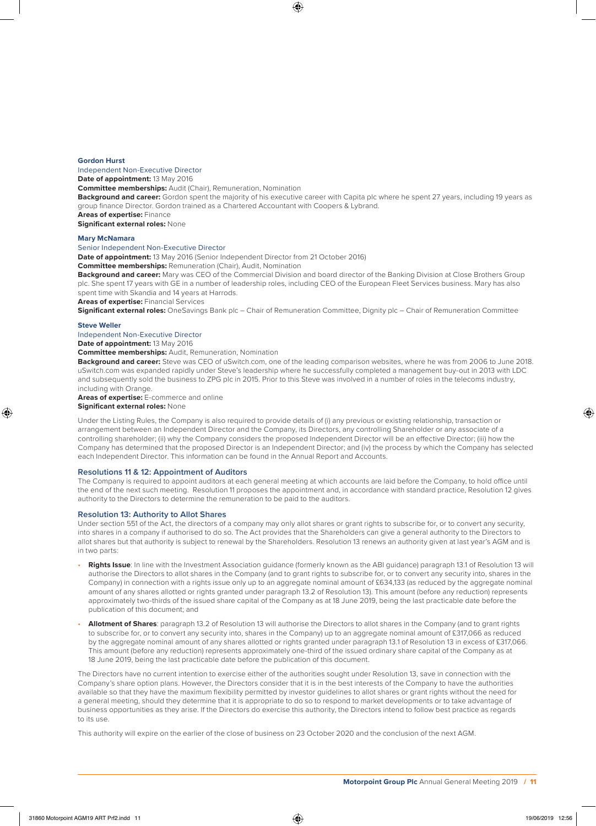### **Gordon Hurst**

Independent Non-Executive Director

**Date of appointment:** 13 May 2016

**Committee memberships:** Audit (Chair), Remuneration, Nomination

Background and career: Gordon spent the majority of his executive career with Capita plc where he spent 27 years, including 19 years as group finance Director. Gordon trained as a Chartered Accountant with Coopers & Lybrand.

**Areas of expertise:** Finance **Significant external roles:** None

**Mary McNamara**

## Senior Independent Non-Executive Director

**Date of appointment:** 13 May 2016 (Senior Independent Director from 21 October 2016)

**Committee memberships:** Remuneration (Chair), Audit, Nomination

**Background and career:** Mary was CEO of the Commercial Division and board director of the Banking Division at Close Brothers Group plc. She spent 17 years with GE in a number of leadership roles, including CEO of the European Fleet Services business. Mary has also spent time with Skandia and 14 years at Harrods.

**Areas of expertise:** Financial Services

**Significant external roles:** OneSavings Bank plc – Chair of Remuneration Committee, Dignity plc – Chair of Remuneration Committee

#### **Steve Weller**

Independent Non-Executive Director

**Date of appointment:** 13 May 2016

**Committee memberships:** Audit, Remuneration, Nomination

**Background and career:** Steve was CEO of uSwitch.com, one of the leading comparison websites, where he was from 2006 to June 2018. uSwitch.com was expanded rapidly under Steve's leadership where he successfully completed a management buy-out in 2013 with LDC and subsequently sold the business to ZPG plc in 2015. Prior to this Steve was involved in a number of roles in the telecoms industry, including with Orange.

**Areas of expertise:** E-commerce and online

## **Significant external roles:** None

Under the Listing Rules, the Company is also required to provide details of (i) any previous or existing relationship, transaction or arrangement between an Independent Director and the Company, its Directors, any controlling Shareholder or any associate of a controlling shareholder; (ii) why the Company considers the proposed Independent Director will be an effective Director; (iii) how the Company has determined that the proposed Director is an Independent Director; and (iv) the process by which the Company has selected each Independent Director. This information can be found in the Annual Report and Accounts.

#### **Resolutions 11 & 12: Appointment of Auditors**

The Company is required to appoint auditors at each general meeting at which accounts are laid before the Company, to hold office until the end of the next such meeting. Resolution 11 proposes the appointment and, in accordance with standard practice, Resolution 12 gives authority to the Directors to determine the remuneration to be paid to the auditors.

#### **Resolution 13: Authority to Allot Shares**

Under section 551 of the Act, the directors of a company may only allot shares or grant rights to subscribe for, or to convert any security, into shares in a company if authorised to do so. The Act provides that the Shareholders can give a general authority to the Directors to allot shares but that authority is subject to renewal by the Shareholders. Resolution 13 renews an authority given at last year's AGM and is in two parts:

- **Rights Issue**: In line with the Investment Association guidance (formerly known as the ABI guidance) paragraph 13.1 of Resolution 13 will authorise the Directors to allot shares in the Company (and to grant rights to subscribe for, or to convert any security into, shares in the Company) in connection with a rights issue only up to an aggregate nominal amount of £634,133 (as reduced by the aggregate nominal amount of any shares allotted or rights granted under paragraph 13.2 of Resolution 13). This amount (before any reduction) represents approximately two-thirds of the issued share capital of the Company as at 18 June 2019, being the last practicable date before the publication of this document; and
- **Allotment of Shares**: paragraph 13.2 of Resolution 13 will authorise the Directors to allot shares in the Company (and to grant rights to subscribe for, or to convert any security into, shares in the Company) up to an aggregate nominal amount of £317,066 as reduced by the aggregate nominal amount of any shares allotted or rights granted under paragraph 13.1 of Resolution 13 in excess of £317,066. This amount (before any reduction) represents approximately one-third of the issued ordinary share capital of the Company as at 18 June 2019, being the last practicable date before the publication of this document.

The Directors have no current intention to exercise either of the authorities sought under Resolution 13, save in connection with the Company's share option plans. However, the Directors consider that it is in the best interests of the Company to have the authorities available so that they have the maximum flexibility permitted by investor guidelines to allot shares or grant rights without the need for a general meeting, should they determine that it is appropriate to do so to respond to market developments or to take advantage of business opportunities as they arise. If the Directors do exercise this authority, the Directors intend to follow best practice as regards to its use.

This authority will expire on the earlier of the close of business on 23 October 2020 and the conclusion of the next AGM.